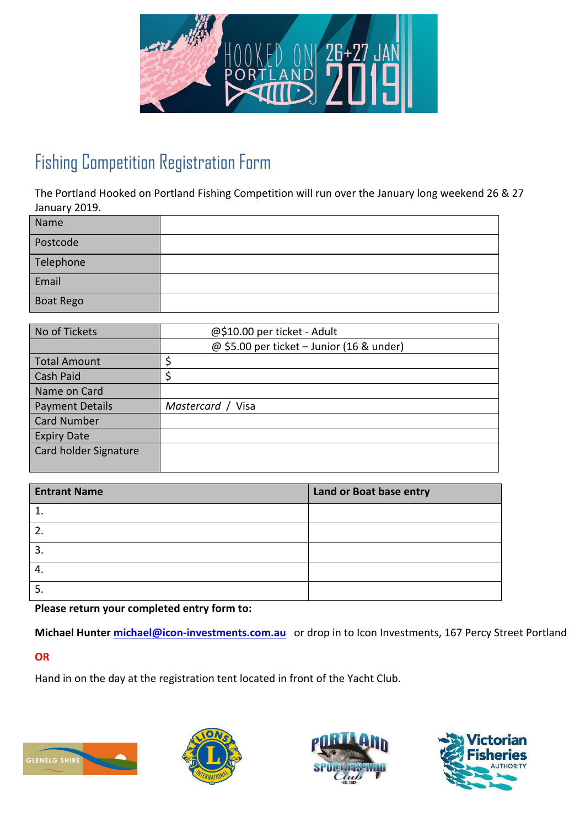

# Fishing Competition Registration Form

The Portland Hooked on Portland Fishing Competition will run over the January long weekend 26 & 27 January 2019.

| Name             |  |
|------------------|--|
| Postcode         |  |
| Telephone        |  |
| Email            |  |
| <b>Boat Rego</b> |  |

| No of Tickets          | @\$10.00 per ticket - Adult               |
|------------------------|-------------------------------------------|
|                        | @ \$5.00 per ticket - Junior (16 & under) |
| <b>Total Amount</b>    |                                           |
| Cash Paid              |                                           |
| Name on Card           |                                           |
| <b>Payment Details</b> | Mastercard / Visa                         |
| <b>Card Number</b>     |                                           |
| <b>Expiry Date</b>     |                                           |
| Card holder Signature  |                                           |
|                        |                                           |

| <b>Entrant Name</b> | Land or Boat base entry |
|---------------------|-------------------------|
|                     |                         |
| $\overline{2}$      |                         |
| $\overline{3}$ .    |                         |
| -4.                 |                         |
|                     |                         |

**Please return your completed entry form to:** 

**Michael Hunter [michael@icon-investments.com.au](mailto:michael@icon-investments.com.au)** or drop in to Icon Investments, 167 Percy Street Portland

#### **OR**

Hand in on the day at the registration tent located in front of the Yacht Club.







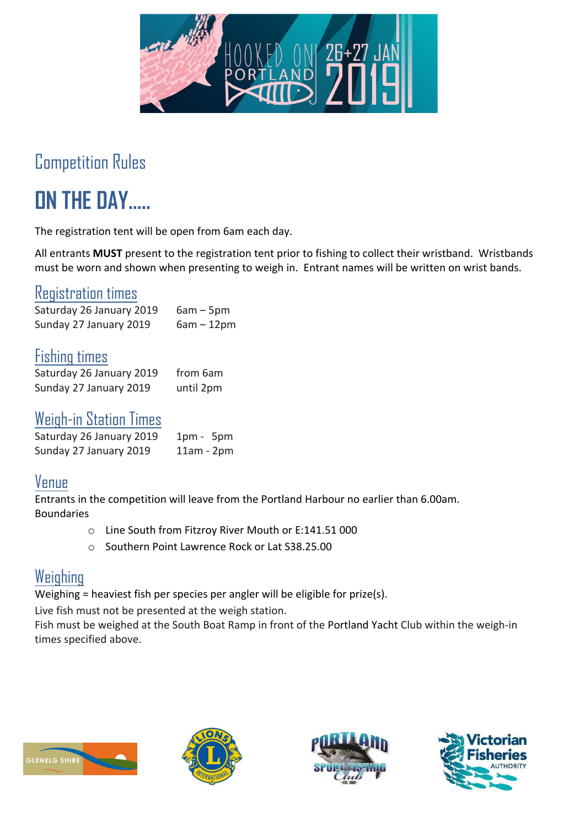

# Competition Rules

# **ON THE DAY…..**

The registration tent will be open from 6am each day.

All entrants **MUST** present to the registration tent prior to fishing to collect their wristband. Wristbands must be worn and shown when presenting to weigh in. Entrant names will be written on wrist bands.

#### Registration times

Saturday 26 January 2019 6am - 5pm Sunday 27 January 2019  $6am - 12pm$ 

#### Fishing times

| Saturday 26 January 2019 | from 6am  |
|--------------------------|-----------|
| Sunday 27 January 2019   | until 2pm |

#### Weigh-in Station Times

| Saturday 26 January 2019 | $1pm - 5pm$  |
|--------------------------|--------------|
| Sunday 27 January 2019   | $11am - 2pm$ |

#### Venue

Entrants in the competition will leave from the Portland Harbour no earlier than 6.00am. Boundaries

- o Line South from Fitzroy River Mouth or E:141.51 000
- o Southern Point Lawrence Rock or Lat S38.25.00

#### Weighing

Weighing = heaviest fish per species per angler will be eligible for prize(s).

Live fish must not be presented at the weigh station.

Fish must be weighed at the South Boat Ramp in front of the Portland Yacht Club within the weigh-in times specified above.







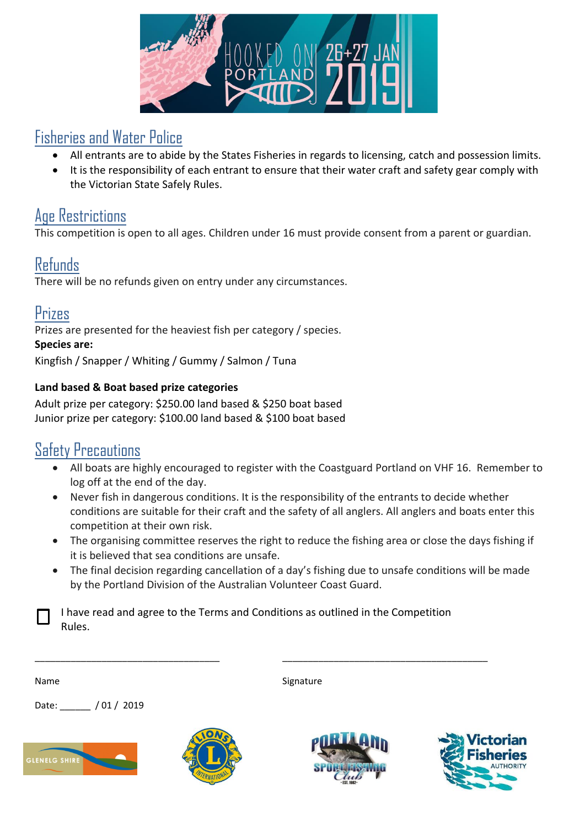

#### Fisheries and Water Police

- All entrants are to abide by the States Fisheries in regards to licensing, catch and possession limits.
- It is the responsibility of each entrant to ensure that their water craft and safety gear comply with the Victorian State Safely Rules.

## Age Restrictions

This competition is open to all ages. Children under 16 must provide consent from a parent or guardian.

## Refunds

There will be no refunds given on entry under any circumstances.

## Prizes

Prizes are presented for the heaviest fish per category / species.

#### **Species are:**

Kingfish / Snapper / Whiting / Gummy / Salmon / Tuna

#### **Land based & Boat based prize categories**

Adult prize per category: \$250.00 land based & \$250 boat based Junior prize per category: \$100.00 land based & \$100 boat based

## Safety Precautions

- All boats are highly encouraged to register with the Coastguard Portland on VHF 16. Remember to log off at the end of the day.
- Never fish in dangerous conditions. It is the responsibility of the entrants to decide whether conditions are suitable for their craft and the safety of all anglers. All anglers and boats enter this competition at their own risk.
- The organising committee reserves the right to reduce the fishing area or close the days fishing if it is believed that sea conditions are unsafe.
- The final decision regarding cancellation of a day's fishing due to unsafe conditions will be made by the Portland Division of the Australian Volunteer Coast Guard.

Signature

I have read and agree to the Terms and Conditions as outlined in the Competition Rules.

\_\_\_\_\_\_\_\_\_\_\_\_\_\_\_\_\_\_\_\_\_\_\_\_\_\_\_\_\_\_\_\_\_\_\_\_ \_\_\_\_\_\_\_\_\_\_\_\_\_\_\_\_\_\_\_\_\_\_\_\_\_\_\_\_\_\_\_\_\_\_\_\_\_\_\_\_

Date: / 01 / 2019